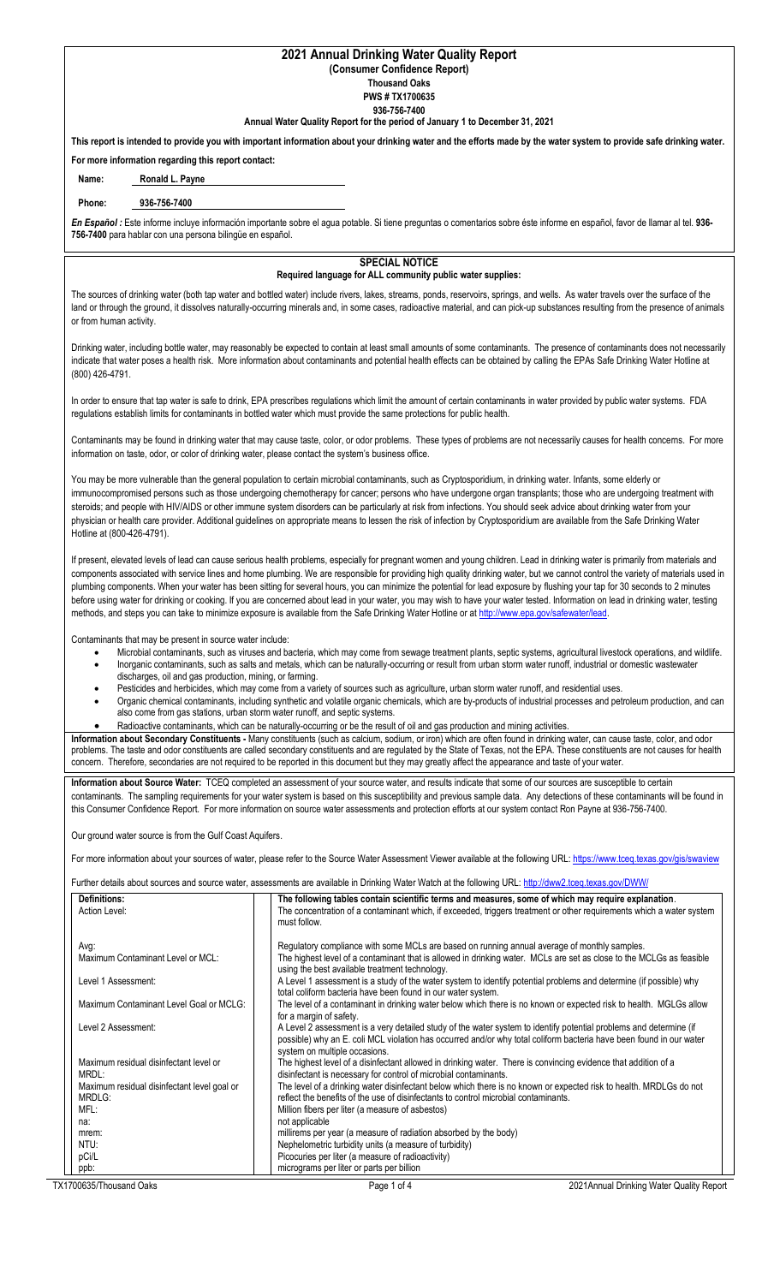## **2021 Annual Drinking Water Quality Report (Consumer Confidence Report)**

**Thousand Oaks**

**PWS # TX1700635**

**936-756-7400**

## **Annual Water Quality Report for the period of January 1 to December 31, 2021**

**This report is intended to provide you with important information about your drinking water and the efforts made by the water system to provide safe drinking water. For more information regarding this report contact:**

**Name: Ronald L. Payne**

# **Phone: 936-756-7400**

*En Español :* Este informe incluye información importante sobre el agua potable. Si tiene preguntas o comentarios sobre éste informe en español, favor de llamar al tel. **936- 756-7400** para hablar con una persona bilingüe en español.

## **SPECIAL NOTICE Required language for ALL community public water supplies:**

The sources of drinking water (both tap water and bottled water) include rivers, lakes, streams, ponds, reservoirs, springs, and wells. As water travels over the surface of the land or through the ground, it dissolves naturally-occurring minerals and, in some cases, radioactive material, and can pick-up substances resulting from the presence of animals or from human activity.

Drinking water, including bottle water, may reasonably be expected to contain at least small amounts of some contaminants. The presence of contaminants does not necessarily indicate that water poses a health risk. More information about contaminants and potential health effects can be obtained by calling the EPAs Safe Drinking Water Hotline at (800) 426-4791.

In order to ensure that tap water is safe to drink, EPA prescribes regulations which limit the amount of certain contaminants in water provided by public water systems. FDA regulations establish limits for contaminants in bottled water which must provide the same protections for public health.

Contaminants may be found in drinking water that may cause taste, color, or odor problems. These types of problems are not necessarily causes for health concerns. For more information on taste, odor, or color of drinking water, please contact the system's business office.

You may be more vulnerable than the general population to certain microbial contaminants, such as Cryptosporidium, in drinking water. Infants, some elderly or immunocompromised persons such as those undergoing chemotherapy for cancer; persons who have undergone organ transplants; those who are undergoing treatment with steroids; and people with HIV/AIDS or other immune system disorders can be particularly at risk from infections. You should seek advice about drinking water from your physician or health care provider. Additional guidelines on appropriate means to lessen the risk of infection by Cryptosporidium are available from the Safe Drinking Water Hotline at (800-426-4791).

If present, elevated levels of lead can cause serious health problems, especially for pregnant women and young children. Lead in drinking water is primarily from materials and components associated with service lines and home plumbing. We are responsible for providing high quality drinking water, but we cannot control the variety of materials used in plumbing components. When your water has been sitting for several hours, you can minimize the potential for lead exposure by flushing your tap for 30 seconds to 2 minutes before using water for drinking or cooking. If you are concerned about lead in your water, you may wish to have your water tested. Information on lead in drinking water, testing methods, and steps you can take to minimize exposure is available from the Safe Drinking Water Hotline or a[t http://www.epa.gov/safewater/lead.](http://www.epa.gov/safewater/lead)

Contaminants that may be present in source water include:

- Microbial contaminants, such as viruses and bacteria, which may come from sewage treatment plants, septic systems, agricultural livestock operations, and wildlife. • Inorganic contaminants, such as salts and metals, which can be naturally-occurring or result from urban storm water runoff, industrial or domestic wastewater
- discharges, oil and gas production, mining, or farming.
- Pesticides and herbicides, which may come from a variety of sources such as agriculture, urban storm water runoff, and residential uses
- Organic chemical contaminants, including synthetic and volatile organic chemicals, which are by-products of industrial processes and petroleum production, and can also come from gas stations, urban storm water runoff, and septic systems.
- Radioactive contaminants, which can be naturally-occurring or be the result of oil and gas production and mining activities.

**Information about Secondary Constituents -** Many constituents (such as calcium, sodium, or iron) which are often found in drinking water, can cause taste, color, and odor problems. The taste and odor constituents are called secondary constituents and are regulated by the State of Texas, not the EPA. These constituents are not causes for health concern. Therefore, secondaries are not required to be reported in this document but they may greatly affect the appearance and taste of your water.

**Information about Source Water:** TCEQ completed an assessment of your source water, and results indicate that some of our sources are susceptible to certain contaminants. The sampling requirements for your water system is based on this susceptibility and previous sample data. Any detections of these contaminants will be found in this Consumer Confidence Report. For more information on source water assessments and protection efforts at our system contact Ron Payne at 936-756-7400.

Our ground water source is from the Gulf Coast Aquifers.

For more information about your sources of water, please refer to the Source Water Assessment Viewer available at the following URL[: https://www.tceq.texas.gov/gis/swaview](https://www.tceq.texas.gov/gis/swaview)

Further details about sources and source water, assessments are available in Drinking Water Watch at the following URL:<http://dww2.tceq.texas.gov/DWW/>

| <b>Definitions:</b>                         | The following tables contain scientific terms and measures, some of which may require explanation.                   |
|---------------------------------------------|----------------------------------------------------------------------------------------------------------------------|
| Action Level:                               | The concentration of a contaminant which, if exceeded, triggers treatment or other requirements which a water system |
|                                             | must follow.                                                                                                         |
|                                             |                                                                                                                      |
| Avg:                                        | Regulatory compliance with some MCLs are based on running annual average of monthly samples.                         |
| Maximum Contaminant Level or MCL:           | The highest level of a contaminant that is allowed in drinking water. MCLs are set as close to the MCLGs as feasible |
|                                             | using the best available treatment technology.                                                                       |
| Level 1 Assessment:                         | A Level 1 assessment is a study of the water system to identify potential problems and determine (if possible) why   |
|                                             | total coliform bacteria have been found in our water system.                                                         |
| Maximum Contaminant Level Goal or MCLG:     | The level of a contaminant in drinking water below which there is no known or expected risk to health. MGLGs allow   |
|                                             | for a margin of safety.                                                                                              |
| Level 2 Assessment:                         | A Level 2 assessment is a very detailed study of the water system to identify potential problems and determine (if   |
|                                             | possible) why an E. coli MCL violation has occurred and/or why total coliform bacteria have been found in our water  |
|                                             | system on multiple occasions.                                                                                        |
| Maximum residual disinfectant level or      | The highest level of a disinfectant allowed in drinking water. There is convincing evidence that addition of a       |
| MRDL:                                       | disinfectant is necessary for control of microbial contaminants.                                                     |
| Maximum residual disinfectant level goal or | The level of a drinking water disinfectant below which there is no known or expected risk to health. MRDLGs do not   |
| MRDLG:                                      | reflect the benefits of the use of disinfectants to control microbial contaminants.                                  |
| MFL:                                        | Million fibers per liter (a measure of asbestos)                                                                     |
| na:                                         | not applicable                                                                                                       |
| mrem:                                       | millirems per year (a measure of radiation absorbed by the body)                                                     |
| NTU:                                        | Nephelometric turbidity units (a measure of turbidity)                                                               |
| pCi/L                                       | Picocuries per liter (a measure of radioactivity)                                                                    |
| ppb:                                        | micrograms per liter or parts per billion                                                                            |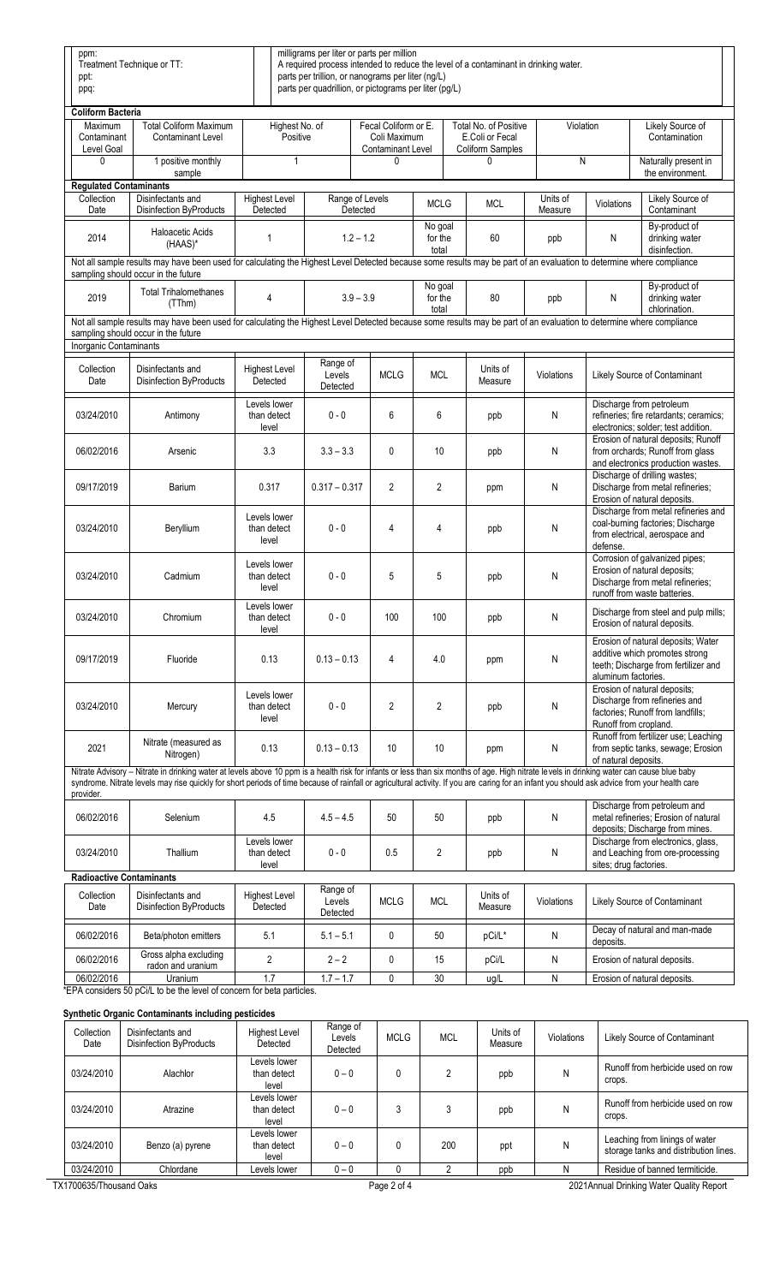| ppm:<br>Treatment Technique or TT:<br>ppt:<br>ppq:                                                                                                                                                                                           |                                                                                                                                                                                                                                                                                                                                                                                             |                                      |                                                                  | milligrams per liter or parts per million<br>parts per trillion, or nanograms per liter (ng/L)<br>parts per quadrillion, or pictograms per liter (pg/L) |                             | A required process intended to reduce the level of a contaminant in drinking water. |                     |                        |                                                                                                                                    |  |
|----------------------------------------------------------------------------------------------------------------------------------------------------------------------------------------------------------------------------------------------|---------------------------------------------------------------------------------------------------------------------------------------------------------------------------------------------------------------------------------------------------------------------------------------------------------------------------------------------------------------------------------------------|--------------------------------------|------------------------------------------------------------------|---------------------------------------------------------------------------------------------------------------------------------------------------------|-----------------------------|-------------------------------------------------------------------------------------|---------------------|------------------------|------------------------------------------------------------------------------------------------------------------------------------|--|
| <b>Coliform Bacteria</b><br>Maximum<br>Contaminant<br>Level Goal                                                                                                                                                                             | <b>Total Coliform Maximum</b><br>Contaminant Level                                                                                                                                                                                                                                                                                                                                          | Highest No. of<br>Positive           | Fecal Coliform or E.<br>Coli Maximum<br><b>Contaminant Level</b> |                                                                                                                                                         |                             | Total No. of Positive<br>E.Coli or Fecal<br><b>Coliform Samples</b>                 | Violation           |                        | Likely Source of<br>Contamination                                                                                                  |  |
| 0                                                                                                                                                                                                                                            | 1 positive monthly<br>sample                                                                                                                                                                                                                                                                                                                                                                | 1                                    |                                                                  |                                                                                                                                                         |                             |                                                                                     | N                   |                        | Naturally present in<br>the environment.                                                                                           |  |
| <b>Regulated Contaminants</b>                                                                                                                                                                                                                |                                                                                                                                                                                                                                                                                                                                                                                             |                                      |                                                                  |                                                                                                                                                         |                             |                                                                                     |                     |                        |                                                                                                                                    |  |
| Collection<br>Date                                                                                                                                                                                                                           | Disinfectants and<br><b>Disinfection ByProducts</b>                                                                                                                                                                                                                                                                                                                                         | <b>Highest Level</b><br>Detected     |                                                                  | Range of Levels<br>Detected                                                                                                                             | <b>MCLG</b>                 | <b>MCL</b>                                                                          | Units of<br>Measure | Violations             | Likely Source of<br>Contaminant                                                                                                    |  |
| 2014                                                                                                                                                                                                                                         | <b>Haloacetic Acids</b><br>(HAAS)*                                                                                                                                                                                                                                                                                                                                                          | 1                                    | $1.2 - 1.2$                                                      |                                                                                                                                                         | No goal<br>for the<br>total | 60                                                                                  | ppb                 | N                      | By-product of<br>drinking water<br>disinfection.                                                                                   |  |
|                                                                                                                                                                                                                                              | Not all sample results may have been used for calculating the Highest Level Detected because some results may be part of an evaluation to determine where compliance<br>sampling should occur in the future                                                                                                                                                                                 |                                      |                                                                  |                                                                                                                                                         |                             |                                                                                     |                     |                        |                                                                                                                                    |  |
| 2019                                                                                                                                                                                                                                         | <b>Total Trihalomethanes</b><br>(TThm)                                                                                                                                                                                                                                                                                                                                                      | 4                                    |                                                                  | $3.9 - 3.9$                                                                                                                                             | No goal<br>for the<br>total | 80                                                                                  | ppb                 | N                      | By-product of<br>drinking water<br>chlorination.                                                                                   |  |
| Not all sample results may have been used for calculating the Highest Level Detected because some results may be part of an evaluation to determine where compliance<br>sampling should occur in the future<br><b>Inorganic Contaminants</b> |                                                                                                                                                                                                                                                                                                                                                                                             |                                      |                                                                  |                                                                                                                                                         |                             |                                                                                     |                     |                        |                                                                                                                                    |  |
| Collection<br>Date                                                                                                                                                                                                                           | Disinfectants and<br><b>Disinfection ByProducts</b>                                                                                                                                                                                                                                                                                                                                         | <b>Highest Level</b><br>Detected     | Range of<br>Levels<br>Detected                                   | <b>MCLG</b>                                                                                                                                             | <b>MCL</b>                  | Units of<br>Measure                                                                 | Violations          |                        | Likely Source of Contaminant                                                                                                       |  |
| 03/24/2010                                                                                                                                                                                                                                   | Antimony                                                                                                                                                                                                                                                                                                                                                                                    | Levels lower<br>than detect<br>level | $0 - 0$                                                          | 6                                                                                                                                                       | 6                           | ppb                                                                                 | N                   |                        | Discharge from petroleum<br>refineries; fire retardants; ceramics;<br>electronics; solder; test addition.                          |  |
| 06/02/2016                                                                                                                                                                                                                                   | Arsenic                                                                                                                                                                                                                                                                                                                                                                                     | 3.3                                  | $3.3 - 3.3$                                                      | $\mathbf{0}$                                                                                                                                            | 10                          | ppb                                                                                 | N                   |                        | Erosion of natural deposits; Runoff<br>from orchards; Runoff from glass<br>and electronics production wastes.                      |  |
| 09/17/2019                                                                                                                                                                                                                                   | Barium                                                                                                                                                                                                                                                                                                                                                                                      | 0.317                                | $0.317 - 0.317$                                                  | 2                                                                                                                                                       | $\overline{2}$              | ppm                                                                                 | N                   |                        | Discharge of drilling wastes;<br>Discharge from metal refineries;<br>Erosion of natural deposits.                                  |  |
| 03/24/2010                                                                                                                                                                                                                                   | Beryllium                                                                                                                                                                                                                                                                                                                                                                                   | Levels lower<br>than detect<br>level | $0 - 0$                                                          | 4                                                                                                                                                       | 4                           | ppb                                                                                 | N                   | defense.               | Discharge from metal refineries and<br>coal-burning factories; Discharge<br>from electrical, aerospace and                         |  |
| 03/24/2010                                                                                                                                                                                                                                   | Cadmium                                                                                                                                                                                                                                                                                                                                                                                     | Levels lower<br>than detect<br>level | $0 - 0$                                                          | 5                                                                                                                                                       | 5                           | ppb                                                                                 | N                   |                        | Corrosion of galvanized pipes;<br>Erosion of natural deposits;<br>Discharge from metal refineries;<br>runoff from waste batteries. |  |
| 03/24/2010                                                                                                                                                                                                                                   | Chromium                                                                                                                                                                                                                                                                                                                                                                                    | Levels lower<br>than detect<br>level | $0 - 0$                                                          | 100                                                                                                                                                     | 100                         | ppb                                                                                 | N                   |                        | Discharge from steel and pulp mills;<br>Erosion of natural deposits.                                                               |  |
| 09/17/2019                                                                                                                                                                                                                                   | Fluoride                                                                                                                                                                                                                                                                                                                                                                                    | 0.13                                 | $0.13 - 0.13$                                                    | 4                                                                                                                                                       | 4.0                         | ppm                                                                                 | N                   | aluminum factories.    | Erosion of natural deposits; Water<br>additive which promotes strong<br>teeth; Discharge from fertilizer and                       |  |
| 03/24/2010                                                                                                                                                                                                                                   | Mercury                                                                                                                                                                                                                                                                                                                                                                                     | Levels lower<br>than detect<br>level | $0 - 0$                                                          | 2                                                                                                                                                       | 2                           | ppb                                                                                 | N                   |                        | Erosion of natural deposits;<br>Discharge from refineries and<br>factories; Runoff from landfills;<br>Runoff from cropland.        |  |
| 2021                                                                                                                                                                                                                                         | Nitrate (measured as<br>Nitrogen)                                                                                                                                                                                                                                                                                                                                                           | 0.13                                 | $0.13 - 0.13$                                                    | 10                                                                                                                                                      | 10                          | ppm                                                                                 | ${\sf N}$           | of natural deposits.   | Runoff from fertilizer use; Leaching<br>from septic tanks, sewage; Erosion                                                         |  |
| provider.                                                                                                                                                                                                                                    | Nitrate Advisory - Nitrate in drinking water at levels above 10 ppm is a health risk for infants or less than six months of age. High nitrate levels in drinking water can cause blue baby<br>syndrome. Nitrate levels may rise quickly for short periods of time because of rainfall or agricultural activity. If you are caring for an infant you should ask advice from your health care |                                      |                                                                  |                                                                                                                                                         |                             |                                                                                     |                     |                        |                                                                                                                                    |  |
| 06/02/2016                                                                                                                                                                                                                                   | Selenium                                                                                                                                                                                                                                                                                                                                                                                    | 4.5                                  | $4.5 - 4.5$                                                      | 50                                                                                                                                                      | 50                          | ppb                                                                                 | N                   |                        | Discharge from petroleum and<br>metal refineries; Erosion of natural<br>deposits; Discharge from mines.                            |  |
| 03/24/2010                                                                                                                                                                                                                                   | Thallium                                                                                                                                                                                                                                                                                                                                                                                    | Levels lower<br>than detect<br>level | $0 - 0$                                                          | 0.5                                                                                                                                                     | $\overline{2}$              | ppb                                                                                 | N                   | sites; drug factories. | Discharge from electronics, glass,<br>and Leaching from ore-processing                                                             |  |
|                                                                                                                                                                                                                                              | <b>Radioactive Contaminants</b>                                                                                                                                                                                                                                                                                                                                                             |                                      |                                                                  |                                                                                                                                                         |                             |                                                                                     |                     |                        |                                                                                                                                    |  |
| Collection<br>Date                                                                                                                                                                                                                           | Disinfectants and<br><b>Disinfection ByProducts</b>                                                                                                                                                                                                                                                                                                                                         | Highest Level<br>Detected            | Range of<br>Levels<br>Detected                                   | <b>MCLG</b>                                                                                                                                             | <b>MCL</b>                  | Units of<br>Measure                                                                 | Violations          |                        | Likely Source of Contaminant                                                                                                       |  |
| 06/02/2016                                                                                                                                                                                                                                   | Beta/photon emitters                                                                                                                                                                                                                                                                                                                                                                        | 5.1                                  | $5.1 - 5.1$                                                      | 0                                                                                                                                                       | 50                          | pCi/L*                                                                              | N                   | deposits.              | Decay of natural and man-made                                                                                                      |  |
| 06/02/2016                                                                                                                                                                                                                                   | Gross alpha excluding<br>radon and uranium                                                                                                                                                                                                                                                                                                                                                  | $\overline{\mathbf{c}}$              | $2 - 2$                                                          | 0                                                                                                                                                       | 15                          | pCi/L                                                                               | N                   |                        | Erosion of natural deposits.                                                                                                       |  |
| 06/02/2016                                                                                                                                                                                                                                   | Uranium<br>*EPA considers 50 pCi/L to be the level of concern for beta particles.                                                                                                                                                                                                                                                                                                           | 1.7                                  | $1.7 - 1.7$                                                      | 0                                                                                                                                                       | 30                          | ug/L                                                                                | N                   |                        | Erosion of natural deposits.                                                                                                       |  |

**Synthetic Organic Contaminants including pesticides**

| Collection<br>Date      | . .<br>Disinfectants and<br>Disinfection ByProducts | <b>Highest Level</b><br>Detected     | Range of<br>Levels<br>Detected | <b>MCLG</b> | <b>MCL</b> | Units of<br>Measure | <b>Violations</b> | Likely Source of Contaminant                                            |
|-------------------------|-----------------------------------------------------|--------------------------------------|--------------------------------|-------------|------------|---------------------|-------------------|-------------------------------------------------------------------------|
| 03/24/2010              | Alachlor                                            | Levels lower<br>than detect<br>level | $0 - 0$                        | 0           |            | ppb                 | N                 | Runoff from herbicide used on row<br>crops.                             |
| 03/24/2010              | Atrazine                                            | Levels lower<br>than detect<br>level | $0 - 0$                        | 3           |            | ppb                 | N                 | Runoff from herbicide used on row<br>crops.                             |
| 03/24/2010              | Benzo (a) pyrene                                    | Levels lower<br>than detect<br>level | $0 - 0$                        | 0           | 200        | ppt                 | N                 | Leaching from linings of water<br>storage tanks and distribution lines. |
| 03/24/2010              | Chlordane                                           | Levels lower                         | $0 - 0$                        |             |            | ppb                 |                   | Residue of banned termiticide.                                          |
| TX1700635/Thousand Oaks |                                                     |                                      |                                | Page 2 of 4 |            |                     |                   | 2021Annual Drinking Water Quality Report                                |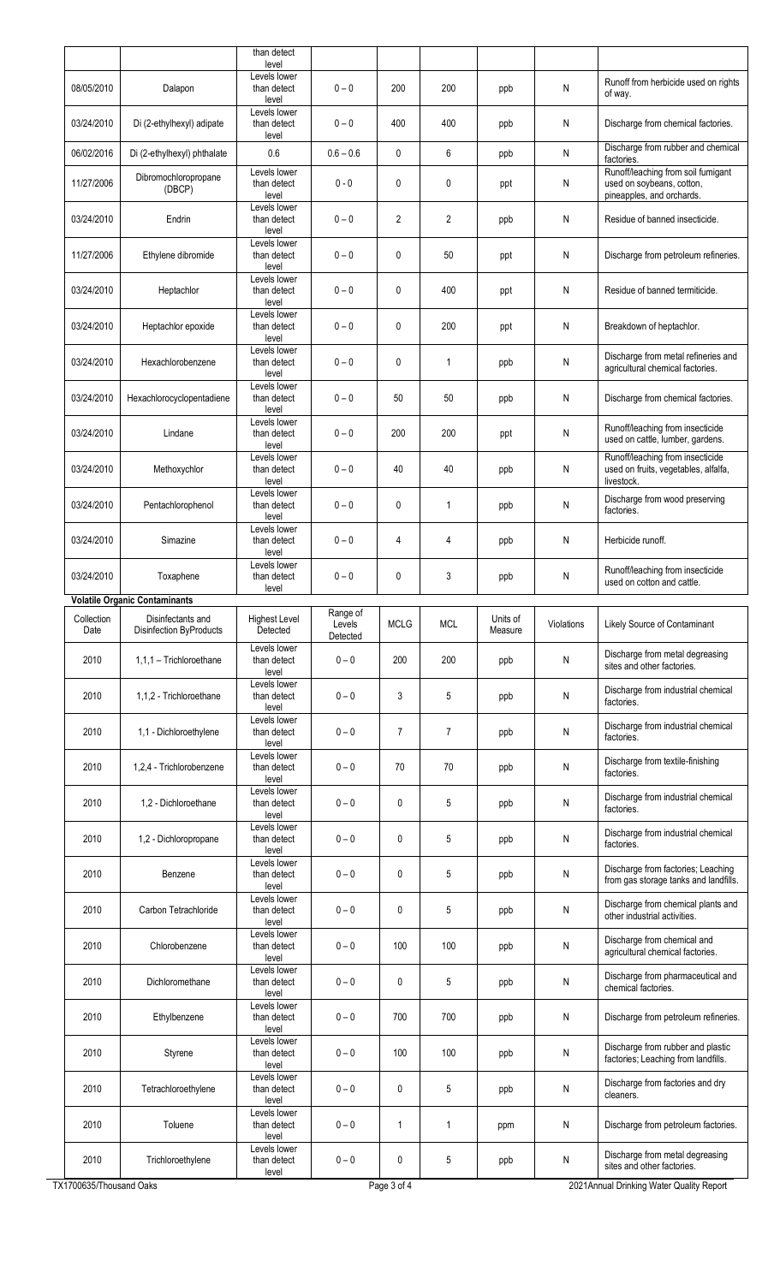|                        |                                                     | than detect                               |                    |                |                |                     |            |                                                                                              |
|------------------------|-----------------------------------------------------|-------------------------------------------|--------------------|----------------|----------------|---------------------|------------|----------------------------------------------------------------------------------------------|
|                        |                                                     | level                                     |                    |                |                |                     |            |                                                                                              |
| 08/05/2010             | Dalapon                                             | Levels lower<br>than detect<br>level      | $0 - 0$            | 200            | 200            | ppb                 | N          | Runoff from herbicide used on rights<br>of way.                                              |
| 03/24/2010             | Di (2-ethylhexyl) adipate                           | Levels lower<br>than detect<br>level      | $0 - 0$            | 400            | 400            | ppb                 | N          | Discharge from chemical factories.                                                           |
| 06/02/2016             | Di (2-ethylhexyl) phthalate                         | 0.6                                       | $0.6 - 0.6$        | 0              | 6              | ppb                 | Ν          | Discharge from rubber and chemical<br>factories.                                             |
| 11/27/2006             | Dibromochloropropane<br>(DBCP)                      | Levels lower<br>than detect<br>level      | $0 - 0$            | 0              | 0              | ppt                 | N          | Runoff/leaching from soil fumigant<br>used on soybeans, cotton,<br>pineapples, and orchards. |
| 03/24/2010             | Endrin                                              | Levels lower<br>than detect<br>level      | $0 - 0$            | $\mathbf{2}$   | 2              | ppb                 | N          | Residue of banned insecticide.                                                               |
| 11/27/2006             | Ethylene dibromide                                  | Levels lower<br>than detect<br>level      | $0 - 0$            | 0              | 50             | ppt                 | N          | Discharge from petroleum refineries.                                                         |
| 03/24/2010             | Heptachlor                                          | Levels lower<br>than detect<br>level      | $0 - 0$            | 0              | 400            | ppt                 | N          | Residue of banned termiticide.                                                               |
| 03/24/2010             | Heptachlor epoxide                                  | Levels lower<br>than detect<br>level      | $0 - 0$            | 0              | 200            | ppt                 | N          | Breakdown of heptachlor.                                                                     |
| 03/24/2010             | Hexachlorobenzene                                   | Levels lower<br>than detect<br>level      | $0 - 0$            | 0              | $\mathbf{1}$   | ppb                 | N          | Discharge from metal refineries and<br>agricultural chemical factories.                      |
| 03/24/2010             | Hexachlorocyclopentadiene                           | Levels lower<br>than detect<br>level      | $0 - 0$            | 50             | 50             | ppb                 | N          | Discharge from chemical factories.                                                           |
| 03/24/2010             | Lindane                                             | Levels lower<br>than detect<br>level      | $0 - 0$            | 200            | 200            | ppt                 | N          | Runoff/leaching from insecticide<br>used on cattle, lumber, gardens.                         |
| 03/24/2010             | Methoxychlor                                        | Levels lower<br>than detect<br>level      | $0 - 0$            | 40             | 40             | ppb                 | N          | Runoff/leaching from insecticide<br>used on fruits, vegetables, alfalfa,<br>livestock.       |
| 03/24/2010             | Pentachlorophenol                                   | Levels lower<br>than detect<br>level      | $0 - 0$            | 0              | $\mathbf{1}$   | ppb                 | N          | Discharge from wood preserving<br>factories.                                                 |
| 03/24/2010             | Simazine                                            | Levels lower<br>than detect<br>level      | $0 - 0$            | 4              | 4              | ppb                 | N          | Herbicide runoff.                                                                            |
| 03/24/2010             | Toxaphene                                           | Levels lower<br>than detect<br>level      | $0 - 0$            | 0              | 3              | ppb                 | N          | Runoff/leaching from insecticide<br>used on cotton and cattle.                               |
|                        | <b>Volatile Organic Contaminants</b>                |                                           | Range of           |                |                |                     |            |                                                                                              |
| Collection<br>Date     | Disinfectants and<br><b>Disinfection ByProducts</b> | Highest Level<br>Detected<br>Levels lower | Levels<br>Detected | <b>MCLG</b>    | <b>MCL</b>     | Units of<br>Measure | Violations | Likely Source of Contaminant                                                                 |
| 2010                   | 1.1.1 - Trichloroethane                             | than detect<br>level<br>Levels lower      | $0 - 0$            | 200            | 200            | ppb                 | N          | Discharge from metal degreasing<br>sites and other factories.                                |
| 2010                   | 1,1,2 - Trichloroethane                             | than detect<br>level                      | $0 - 0$            | 3              | 5              | ppb                 | N          | Discharge from industrial chemical<br>factories.                                             |
| 2010                   | 1,1 - Dichloroethylene                              | Levels lower<br>than detect<br>level      | $0 - 0$            | $\overline{7}$ | $\overline{7}$ | ppb                 | Ν          | Discharge from industrial chemical<br>factories.                                             |
| 2010                   | 1,2,4 - Trichlorobenzene                            | Levels lower<br>than detect<br>level      | $0 - 0$            | 70             | 70             | ppb                 | Ν          | Discharge from textile-finishing<br>factories.                                               |
| 2010                   | 1,2 - Dichloroethane                                | Levels lower<br>than detect<br>level      | $0 - 0$            | 0              | 5              | ppb                 | N          | Discharge from industrial chemical<br>factories.                                             |
| 2010                   | 1,2 - Dichloropropane                               | Levels lower<br>than detect<br>level      | $0 - 0$            | 0              | 5              | ppb                 | N          | Discharge from industrial chemical<br>factories.                                             |
| 2010                   | Benzene                                             | Levels lower<br>than detect<br>level      | $0 - 0$            | 0              | 5              | ppb                 | Ν          | Discharge from factories; Leaching<br>from gas storage tanks and landfills.                  |
| 2010                   | Carbon Tetrachloride                                | Levels lower<br>than detect<br>level      | $0 - 0$            | 0              | 5              | ppb                 | N          | Discharge from chemical plants and<br>other industrial activities.                           |
| 2010                   | Chlorobenzene                                       | Levels lower<br>than detect<br>level      | $0 - 0$            | 100            | 100            | ppb                 | N          | Discharge from chemical and<br>agricultural chemical factories.                              |
| 2010                   | Dichloromethane                                     | Levels lower<br>than detect<br>level      | $0 - 0$            | 0              | 5              | ppb                 | Ν          | Discharge from pharmaceutical and<br>chemical factories.                                     |
| 2010                   | Ethylbenzene                                        | Levels lower<br>than detect<br>level      | $0 - 0$            | 700            | 700            | ppb                 | N          | Discharge from petroleum refineries.                                                         |
| 2010                   | Styrene                                             | Levels lower<br>than detect<br>level      | $0 - 0$            | 100            | 100            | ppb                 | N          | Discharge from rubber and plastic<br>factories; Leaching from landfills.                     |
| 2010                   | Tetrachloroethylene                                 | Levels lower<br>than detect<br>level      | $0 - 0$            | 0              | 5              | ppb                 | Ν          | Discharge from factories and dry<br>cleaners.                                                |
| 2010                   | Toluene                                             | Levels lower<br>than detect<br>level      | $0 - 0$            | $\mathbf{1}$   | 1              | ppm                 | N          | Discharge from petroleum factories.                                                          |
| 2010                   | Trichloroethylene                                   | Levels lower<br>than detect<br>level      | $0 - 0$            | 0              | 5              | ppb                 | N          | Discharge from metal degreasing<br>sites and other factories.                                |
| <1700635/Thousand Oaks |                                                     |                                           |                    | Page 3 of 4    |                |                     |            | 2021Annual Drinking Water Quality Report                                                     |

TX1700635/Thousand Oaks

2 1Annual Drinking Water Quality Report